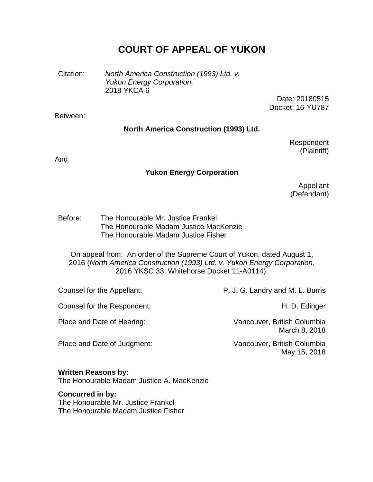# **COURT OF APPEAL OF YUKON**

Citation: *North America Construction (1993) Ltd. v. Yukon Energy Corporation,* 2018 YKCA 6

Date: 20180515 Docket: 16-YU787

#### Between:

#### **North America Construction (1993) Ltd.**

Respondent (Plaintiff)

And

#### **Yukon Energy Corporation**

Appellant (Defendant)

Before: The Honourable Mr. Justice Frankel The Honourable Madam Justice MacKenzie The Honourable Madam Justice Fisher

On appeal from: An order of the Supreme Court of Yukon, dated August 1, 2016 (*North America Construction (1993) Ltd. v. Yukon Energy Corporation*, 2016 YKSC 33, Whitehorse Docket 11-A0114).

| Counsel for the Appellant:  | P. J. G. Landry and M. L. Burris             |
|-----------------------------|----------------------------------------------|
| Counsel for the Respondent: | H. D. Edinger                                |
| Place and Date of Hearing:  | Vancouver, British Columbia<br>March 8, 2018 |
| Place and Date of Judgment: | Vancouver, British Columbia<br>May 15, 2018  |

#### **Written Reasons by:**

The Honourable Madam Justice A. MacKenzie

**Concurred in by:** The Honourable Mr. Justice Frankel The Honourable Madam Justice Fisher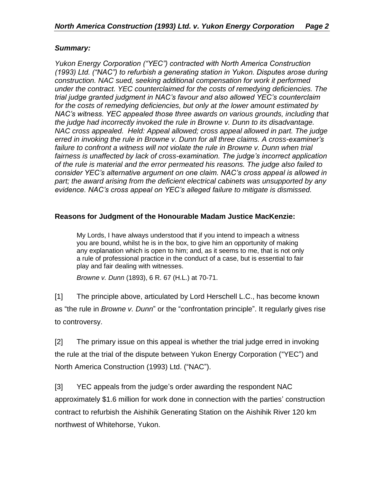#### *Summary:*

*Yukon Energy Corporation ("YEC") contracted with North America Construction (1993) Ltd. ("NAC") to refurbish a generating station in Yukon. Disputes arose during construction. NAC sued, seeking additional compensation for work it performed under the contract. YEC counterclaimed for the costs of remedying deficiencies. The trial judge granted judgment in NAC's favour and also allowed YEC's counterclaim for the costs of remedying deficiencies, but only at the lower amount estimated by NAC's witness. YEC appealed those three awards on various grounds, including that the judge had incorrectly invoked the rule in Browne v. Dunn to its disadvantage. NAC cross appealed. Held: Appeal allowed; cross appeal allowed in part. The judge erred in invoking the rule in Browne v. Dunn for all three claims. A cross-examiner's*  failure to confront a witness will not violate the rule in Browne v. Dunn when trial *fairness is unaffected by lack of cross-examination. The judge's incorrect application of the rule is material and the error permeated his reasons. The judge also failed to consider YEC's alternative argument on one claim. NAC's cross appeal is allowed in*  part; the award arising from the deficient electrical cabinets was unsupported by any *evidence. NAC's cross appeal on YEC's alleged failure to mitigate is dismissed.*

#### **Reasons for Judgment of the Honourable Madam Justice MacKenzie:**

My Lords, I have always understood that if you intend to impeach a witness you are bound, whilst he is in the box, to give him an opportunity of making any explanation which is open to him; and, as it seems to me, that is not only a rule of professional practice in the conduct of a case, but is essential to fair play and fair dealing with witnesses.

*Browne v. Dunn* (1893), 6 R. 67 (H.L.) at 70-71.

[1] The principle above, articulated by Lord Herschell L.C., has become known as "the rule in *Browne v. Dunn*" or the "confrontation principle". It regularly gives rise to controversy.

[2] The primary issue on this appeal is whether the trial judge erred in invoking the rule at the trial of the dispute between Yukon Energy Corporation ("YEC") and North America Construction (1993) Ltd. ("NAC").

[3] YEC appeals from the judge's order awarding the respondent NAC approximately \$1.6 million for work done in connection with the parties' construction contract to refurbish the Aishihik Generating Station on the Aishihik River 120 km northwest of Whitehorse, Yukon.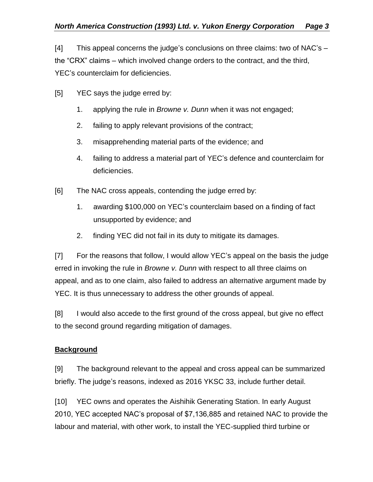[4] This appeal concerns the judge's conclusions on three claims: two of NAC's – the "CRX" claims – which involved change orders to the contract, and the third, YEC's counterclaim for deficiencies.

- [5] YEC says the judge erred by:
	- 1. applying the rule in *Browne v. Dunn* when it was not engaged;
	- 2. failing to apply relevant provisions of the contract;
	- 3. misapprehending material parts of the evidence; and
	- 4. failing to address a material part of YEC's defence and counterclaim for deficiencies.
- [6] The NAC cross appeals, contending the judge erred by:
	- 1. awarding \$100,000 on YEC's counterclaim based on a finding of fact unsupported by evidence; and
	- 2. finding YEC did not fail in its duty to mitigate its damages.

[7] For the reasons that follow, I would allow YEC's appeal on the basis the judge erred in invoking the rule in *Browne v. Dunn* with respect to all three claims on appeal, and as to one claim, also failed to address an alternative argument made by YEC. It is thus unnecessary to address the other grounds of appeal.

[8] I would also accede to the first ground of the cross appeal, but give no effect to the second ground regarding mitigation of damages.

# **Background**

[9] The background relevant to the appeal and cross appeal can be summarized briefly. The judge's reasons, indexed as 2016 YKSC 33, include further detail.

[10] YEC owns and operates the Aishihik Generating Station. In early August 2010, YEC accepted NAC's proposal of \$7,136,885 and retained NAC to provide the labour and material, with other work, to install the YEC-supplied third turbine or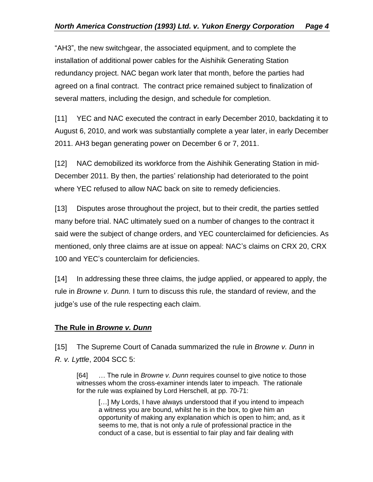"AH3", the new switchgear, the associated equipment, and to complete the installation of additional power cables for the Aishihik Generating Station redundancy project. NAC began work later that month, before the parties had agreed on a final contract. The contract price remained subject to finalization of several matters, including the design, and schedule for completion.

[11] YEC and NAC executed the contract in early December 2010, backdating it to August 6, 2010, and work was substantially complete a year later, in early December 2011. AH3 began generating power on December 6 or 7, 2011.

[12] NAC demobilized its workforce from the Aishihik Generating Station in mid-December 2011. By then, the parties' relationship had deteriorated to the point where YEC refused to allow NAC back on site to remedy deficiencies.

[13] Disputes arose throughout the project, but to their credit, the parties settled many before trial. NAC ultimately sued on a number of changes to the contract it said were the subject of change orders, and YEC counterclaimed for deficiencies. As mentioned, only three claims are at issue on appeal: NAC's claims on CRX 20, CRX 100 and YEC's counterclaim for deficiencies.

[14] In addressing these three claims, the judge applied, or appeared to apply, the rule in *Browne v. Dunn.* I turn to discuss this rule, the standard of review, and the judge's use of the rule respecting each claim.

## **The Rule in** *Browne v. Dunn*

[15] The Supreme Court of Canada summarized the rule in *Browne v. Dunn* in *R. v. Lyttle*, 2004 SCC 5:

[64] … The rule in *Browne v. Dunn* requires counsel to give notice to those witnesses whom the cross-examiner intends later to impeach. The rationale for the rule was explained by Lord Herschell, at pp. 70-71:

[...] My Lords, I have always understood that if you intend to impeach a witness you are bound, whilst he is in the box, to give him an opportunity of making any explanation which is open to him; and, as it seems to me, that is not only a rule of professional practice in the conduct of a case, but is essential to fair play and fair dealing with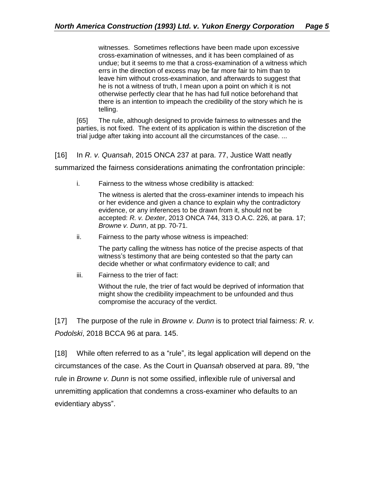witnesses. Sometimes reflections have been made upon excessive cross-examination of witnesses, and it has been complained of as undue; but it seems to me that a cross-examination of a witness which errs in the direction of excess may be far more fair to him than to leave him without cross-examination, and afterwards to suggest that he is not a witness of truth, I mean upon a point on which it is not otherwise perfectly clear that he has had full notice beforehand that there is an intention to impeach the credibility of the story which he is telling.

[65] The rule, although designed to provide fairness to witnesses and the parties, is not fixed. The extent of its application is within the discretion of the trial judge after taking into account all the circumstances of the case. ...

[16] In *R. v. Quansah*, 2015 ONCA 237 at para. 77, Justice Watt neatly

summarized the fairness considerations animating the confrontation principle:

i. Fairness to the witness whose credibility is attacked:

The witness is alerted that the cross-examiner intends to impeach his or her evidence and given a chance to explain why the contradictory evidence, or any inferences to be drawn from it, should not be accepted: *R. v. Dexter*, 2013 ONCA 744, 313 O.A.C. 226, at para. 17; *Browne v. Dunn*, at pp. 70-71.

ii. Fairness to the party whose witness is impeached:

The party calling the witness has notice of the precise aspects of that witness's testimony that are being contested so that the party can decide whether or what confirmatory evidence to call; and

iii. Fairness to the trier of fact:

Without the rule, the trier of fact would be deprived of information that might show the credibility impeachment to be unfounded and thus compromise the accuracy of the verdict.

[17] The purpose of the rule in *Browne v. Dunn* is to protect trial fairness: *R. v. Podolski*, 2018 BCCA 96 at para. 145.

[18] While often referred to as a "rule", its legal application will depend on the circumstances of the case. As the Court in *Quansah* observed at para. 89, "the rule in *Browne v. Dunn* is not some ossified, inflexible rule of universal and unremitting application that condemns a cross-examiner who defaults to an evidentiary abyss".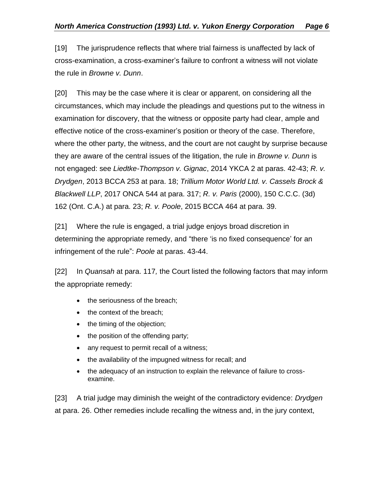[19] The jurisprudence reflects that where trial fairness is unaffected by lack of cross-examination, a cross-examiner's failure to confront a witness will not violate the rule in *Browne v. Dunn*.

[20] This may be the case where it is clear or apparent, on considering all the circumstances, which may include the pleadings and questions put to the witness in examination for discovery, that the witness or opposite party had clear, ample and effective notice of the cross-examiner's position or theory of the case. Therefore, where the other party, the witness, and the court are not caught by surprise because they are aware of the central issues of the litigation, the rule in *Browne v. Dunn* is not engaged: see *Liedtke-Thompson v. Gignac*, 2014 YKCA 2 at paras. 42-43; *R. v. Drydgen*, 2013 BCCA 253 at para. 18; *Trillium Motor World Ltd. v. Cassels Brock & Blackwell LLP*, 2017 ONCA 544 at para. 317; *R. v. Paris* (2000), 150 C.C.C. (3d) 162 (Ont. C.A.) at para. 23; *R. v. Poole*, 2015 BCCA 464 at para. 39.

[21] Where the rule is engaged, a trial judge enjoys broad discretion in determining the appropriate remedy, and "there 'is no fixed consequence' for an infringement of the rule": *Poole* at paras. 43-44.

[22] In *Quansah* at para. 117*,* the Court listed the following factors that may inform the appropriate remedy:

- the seriousness of the breach;
- the context of the breach:
- the timing of the objection;
- $\bullet$  the position of the offending party;
- any request to permit recall of a witness;
- the availability of the impugned witness for recall; and
- the adequacy of an instruction to explain the relevance of failure to crossexamine.

[23] A trial judge may diminish the weight of the contradictory evidence: *Drydgen*  at para. 26. Other remedies include recalling the witness and, in the jury context,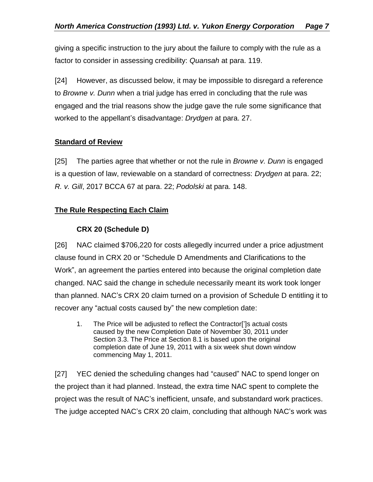giving a specific instruction to the jury about the failure to comply with the rule as a factor to consider in assessing credibility: *Quansah* at para. 119.

[24] However, as discussed below, it may be impossible to disregard a reference to *Browne v. Dunn* when a trial judge has erred in concluding that the rule was engaged and the trial reasons show the judge gave the rule some significance that worked to the appellant's disadvantage: *Drydgen* at para. 27.

## **Standard of Review**

[25] The parties agree that whether or not the rule in *Browne v. Dunn* is engaged is a question of law, reviewable on a standard of correctness: *Drydgen* at para. 22; *R. v. Gill*, 2017 BCCA 67 at para. 22; *Podolski* at para. 148.

## **The Rule Respecting Each Claim**

## **CRX 20 (Schedule D)**

[26] NAC claimed \$706,220 for costs allegedly incurred under a price adjustment clause found in CRX 20 or "Schedule D Amendments and Clarifications to the Work", an agreement the parties entered into because the original completion date changed. NAC said the change in schedule necessarily meant its work took longer than planned. NAC's CRX 20 claim turned on a provision of Schedule D entitling it to recover any "actual costs caused by" the new completion date:

1. The Price will be adjusted to reflect the Contractor[']s actual costs caused by the new Completion Date of November 30, 2011 under Section 3.3. The Price at Section 8.1 is based upon the original completion date of June 19, 2011 with a six week shut down window commencing May 1, 2011.

[27] YEC denied the scheduling changes had "caused" NAC to spend longer on the project than it had planned. Instead, the extra time NAC spent to complete the project was the result of NAC's inefficient, unsafe, and substandard work practices. The judge accepted NAC's CRX 20 claim, concluding that although NAC's work was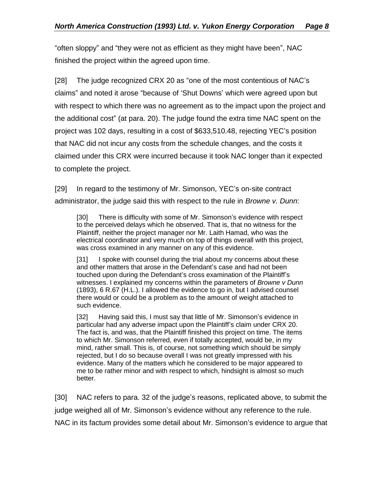"often sloppy" and "they were not as efficient as they might have been", NAC finished the project within the agreed upon time.

[28] The judge recognized CRX 20 as "one of the most contentious of NAC's claims" and noted it arose "because of 'Shut Downs' which were agreed upon but with respect to which there was no agreement as to the impact upon the project and the additional cost" (at para. 20). The judge found the extra time NAC spent on the project was 102 days, resulting in a cost of \$633,510.48, rejecting YEC's position that NAC did not incur any costs from the schedule changes, and the costs it claimed under this CRX were incurred because it took NAC longer than it expected to complete the project.

[29] In regard to the testimony of Mr. Simonson, YEC's on-site contract administrator, the judge said this with respect to the rule in *Browne v. Dunn*:

[30] There is difficulty with some of Mr. Simonson's evidence with respect to the perceived delays which he observed. That is, that no witness for the Plaintiff, neither the project manager nor Mr. Laith Hamad, who was the electrical coordinator and very much on top of things overall with this project, was cross examined in any manner on any of this evidence.

[31] I spoke with counsel during the trial about my concerns about these and other matters that arose in the Defendant's case and had not been touched upon during the Defendant's cross examination of the Plaintiff's witnesses. I explained my concerns within the parameters of *Browne v Dunn* (1893), 6 R.67 (H.L.). I allowed the evidence to go in, but I advised counsel there would or could be a problem as to the amount of weight attached to such evidence.

[32] Having said this, I must say that little of Mr. Simonson's evidence in particular had any adverse impact upon the Plaintiff's claim under CRX 20. The fact is, and was, that the Plaintiff finished this project on time. The items to which Mr. Simonson referred, even if totally accepted, would be, in my mind, rather small. This is, of course, not something which should be simply rejected, but I do so because overall I was not greatly impressed with his evidence. Many of the matters which he considered to be major appeared to me to be rather minor and with respect to which, hindsight is almost so much better.

[30] NAC refers to para. 32 of the judge's reasons, replicated above, to submit the judge weighed all of Mr. Simonson's evidence without any reference to the rule. NAC in its factum provides some detail about Mr. Simonson's evidence to argue that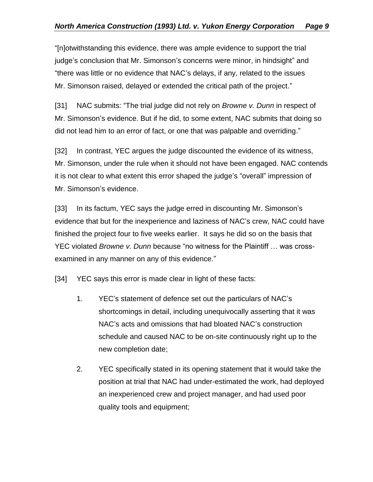"[n]otwithstanding this evidence, there was ample evidence to support the trial judge's conclusion that Mr. Simonson's concerns were minor, in hindsight" and "there was little or no evidence that NAC's delays, if any, related to the issues Mr. Simonson raised, delayed or extended the critical path of the project."

[31] NAC submits: "The trial judge did not rely on *Browne v. Dunn* in respect of Mr. Simonson's evidence. But if he did, to some extent, NAC submits that doing so did not lead him to an error of fact, or one that was palpable and overriding."

[32] In contrast, YEC argues the judge discounted the evidence of its witness, Mr. Simonson, under the rule when it should not have been engaged. NAC contends it is not clear to what extent this error shaped the judge's "overall" impression of Mr. Simonson's evidence.

[33] In its factum, YEC says the judge erred in discounting Mr. Simonson's evidence that but for the inexperience and laziness of NAC's crew, NAC could have finished the project four to five weeks earlier. It says he did so on the basis that YEC violated *Browne v. Dunn* because "no witness for the Plaintiff … was crossexamined in any manner on any of this evidence."

[34] YEC says this error is made clear in light of these facts:

- 1. YEC's statement of defence set out the particulars of NAC's shortcomings in detail, including unequivocally asserting that it was NAC's acts and omissions that had bloated NAC's construction schedule and caused NAC to be on-site continuously right up to the new completion date;
- 2. YEC specifically stated in its opening statement that it would take the position at trial that NAC had under-estimated the work, had deployed an inexperienced crew and project manager, and had used poor quality tools and equipment;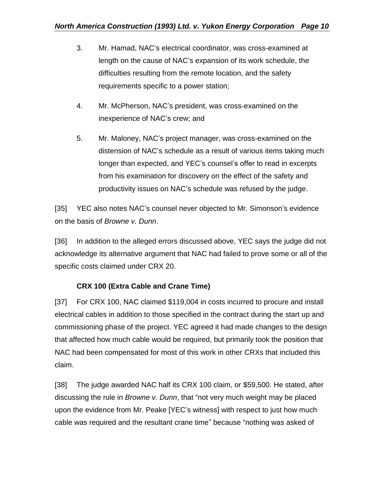- 3. Mr. Hamad, NAC's electrical coordinator, was cross-examined at length on the cause of NAC's expansion of its work schedule, the difficulties resulting from the remote location, and the safety requirements specific to a power station;
- 4. Mr. McPherson, NAC's president, was cross-examined on the inexperience of NAC's crew; and
- 5. Mr. Maloney, NAC's project manager, was cross-examined on the distension of NAC's schedule as a result of various items taking much longer than expected, and YEC's counsel's offer to read in excerpts from his examination for discovery on the effect of the safety and productivity issues on NAC's schedule was refused by the judge.

[35] YEC also notes NAC's counsel never objected to Mr. Simonson's evidence on the basis of *Browne v. Dunn*.

[36] In addition to the alleged errors discussed above, YEC says the judge did not acknowledge its alternative argument that NAC had failed to prove some or all of the specific costs claimed under CRX 20.

# **CRX 100 (Extra Cable and Crane Time)**

[37] For CRX 100, NAC claimed \$119,004 in costs incurred to procure and install electrical cables in addition to those specified in the contract during the start up and commissioning phase of the project. YEC agreed it had made changes to the design that affected how much cable would be required, but primarily took the position that NAC had been compensated for most of this work in other CRXs that included this claim.

[38] The judge awarded NAC half its CRX 100 claim, or \$59,500. He stated, after discussing the rule in *Browne v. Dunn*, that "not very much weight may be placed upon the evidence from Mr. Peake [YEC's witness] with respect to just how much cable was required and the resultant crane time" because "nothing was asked of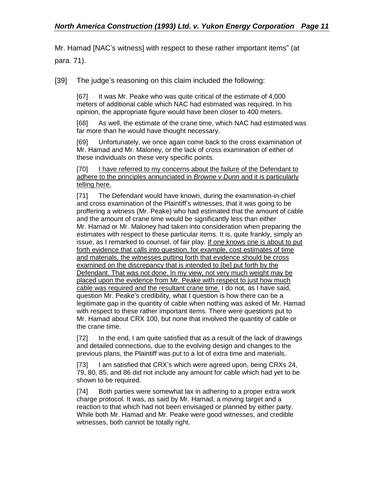Mr. Hamad [NAC's witness] with respect to these rather important items" (at para. 71).

[39] The judge's reasoning on this claim included the following:

[67] It was Mr. Peake who was quite critical of the estimate of 4,000 meters of additional cable which NAC had estimated was required. In his opinion, the appropriate figure would have been closer to 400 meters.

[68] As well, the estimate of the crane time, which NAC had estimated was far more than he would have thought necessary.

[69] Unfortunately, we once again come back to the cross examination of Mr. Hamad and Mr. Maloney, or the lack of cross examination of either of these individuals on these very specific points.

[70] I have referred to my concerns about the failure of the Defendant to adhere to the principles annunciated in *Browne v Dunn* and it is particularly telling here.

[71] The Defendant would have known, during the examination-in-chief and cross examination of the Plaintiff's witnesses, that it was going to be proffering a witness (Mr. Peake) who had estimated that the amount of cable and the amount of crane time would be significantly less than either Mr. Hamad or Mr. Maloney had taken into consideration when preparing the estimates with respect to these particular items. It is, quite frankly, simply an issue, as I remarked to counsel, of fair play. If one knows one is about to put forth evidence that calls into question, for example, cost estimates of time and materials, the witnesses putting forth that evidence should be cross examined on the discrepancy that is intended to [be] put forth by the Defendant. That was not done. In my view, not very much weight may be placed upon the evidence from Mr. Peake with respect to just how much cable was required and the resultant crane time. I do not, as I have said, question Mr. Peake's credibility, what I question is how there can be a legitimate gap in the quantity of cable when nothing was asked of Mr. Hamad with respect to these rather important items. There were questions put to Mr. Hamad about CRX 100, but none that involved the quantity of cable or the crane time.

[72] In the end, I am quite satisfied that as a result of the lack of drawings and detailed connections, due to the evolving design and changes to the previous plans, the Plaintiff was put to a lot of extra time and materials.

[73] I am satisfied that CRX's which were agreed upon, being CRXs 24, 79, 80, 85, and 86 did not include any amount for cable which had yet to be shown to be required.

[74] Both parties were somewhat lax in adhering to a proper extra work charge protocol. It was, as said by Mr. Hamad, a moving target and a reaction to that which had not been envisaged or planned by either party. While both Mr. Hamad and Mr. Peake were good witnesses, and credible witnesses, both cannot be totally right.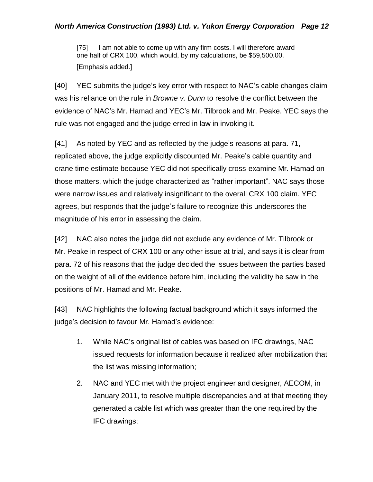[75] I am not able to come up with any firm costs. I will therefore award one half of CRX 100, which would, by my calculations, be \$59,500.00. [Emphasis added.]

[40] YEC submits the judge's key error with respect to NAC's cable changes claim was his reliance on the rule in *Browne v. Dunn* to resolve the conflict between the evidence of NAC's Mr. Hamad and YEC's Mr. Tilbrook and Mr. Peake. YEC says the rule was not engaged and the judge erred in law in invoking it.

[41] As noted by YEC and as reflected by the judge's reasons at para. 71, replicated above, the judge explicitly discounted Mr. Peake's cable quantity and crane time estimate because YEC did not specifically cross-examine Mr. Hamad on those matters, which the judge characterized as "rather important". NAC says those were narrow issues and relatively insignificant to the overall CRX 100 claim. YEC agrees, but responds that the judge's failure to recognize this underscores the magnitude of his error in assessing the claim.

[42] NAC also notes the judge did not exclude any evidence of Mr. Tilbrook or Mr. Peake in respect of CRX 100 or any other issue at trial, and says it is clear from para. 72 of his reasons that the judge decided the issues between the parties based on the weight of all of the evidence before him, including the validity he saw in the positions of Mr. Hamad and Mr. Peake.

[43] NAC highlights the following factual background which it says informed the judge's decision to favour Mr. Hamad's evidence:

- 1. While NAC's original list of cables was based on IFC drawings, NAC issued requests for information because it realized after mobilization that the list was missing information;
- 2. NAC and YEC met with the project engineer and designer, AECOM, in January 2011, to resolve multiple discrepancies and at that meeting they generated a cable list which was greater than the one required by the IFC drawings;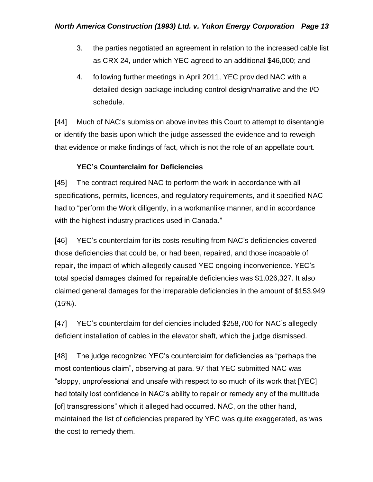- 3. the parties negotiated an agreement in relation to the increased cable list as CRX 24, under which YEC agreed to an additional \$46,000; and
- 4. following further meetings in April 2011, YEC provided NAC with a detailed design package including control design/narrative and the I/O schedule.

[44] Much of NAC's submission above invites this Court to attempt to disentangle or identify the basis upon which the judge assessed the evidence and to reweigh that evidence or make findings of fact, which is not the role of an appellate court.

## **YEC's Counterclaim for Deficiencies**

[45] The contract required NAC to perform the work in accordance with all specifications, permits, licences, and regulatory requirements, and it specified NAC had to "perform the Work diligently, in a workmanlike manner, and in accordance with the highest industry practices used in Canada."

[46] YEC's counterclaim for its costs resulting from NAC's deficiencies covered those deficiencies that could be, or had been, repaired, and those incapable of repair, the impact of which allegedly caused YEC ongoing inconvenience. YEC's total special damages claimed for repairable deficiencies was \$1,026,327. It also claimed general damages for the irreparable deficiencies in the amount of \$153,949 (15%).

[47] YEC's counterclaim for deficiencies included \$258,700 for NAC's allegedly deficient installation of cables in the elevator shaft, which the judge dismissed.

[48] The judge recognized YEC's counterclaim for deficiencies as "perhaps the most contentious claim", observing at para. 97 that YEC submitted NAC was "sloppy, unprofessional and unsafe with respect to so much of its work that [YEC] had totally lost confidence in NAC's ability to repair or remedy any of the multitude [of] transgressions" which it alleged had occurred. NAC, on the other hand, maintained the list of deficiencies prepared by YEC was quite exaggerated, as was the cost to remedy them.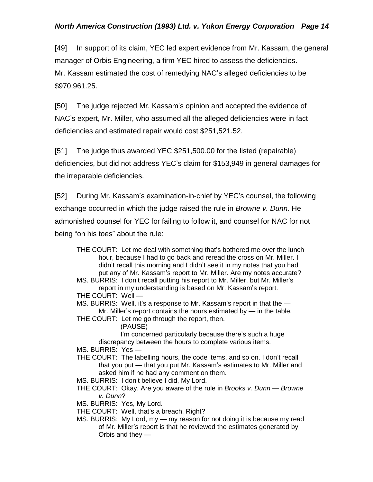[49] In support of its claim, YEC led expert evidence from Mr. Kassam, the general manager of Orbis Engineering, a firm YEC hired to assess the deficiencies. Mr. Kassam estimated the cost of remedying NAC's alleged deficiencies to be \$970,961.25.

[50] The judge rejected Mr. Kassam's opinion and accepted the evidence of NAC's expert, Mr. Miller, who assumed all the alleged deficiencies were in fact deficiencies and estimated repair would cost \$251,521.52.

[51] The judge thus awarded YEC \$251,500.00 for the listed (repairable) deficiencies, but did not address YEC's claim for \$153,949 in general damages for the irreparable deficiencies.

[52] During Mr. Kassam's examination-in-chief by YEC's counsel, the following exchange occurred in which the judge raised the rule in *Browne v. Dunn*. He admonished counsel for YEC for failing to follow it, and counsel for NAC for not being "on his toes" about the rule:

- THE COURT: Let me deal with something that's bothered me over the lunch hour, because I had to go back and reread the cross on Mr. Miller. I didn't recall this morning and I didn't see it in my notes that you had put any of Mr. Kassam's report to Mr. Miller. Are my notes accurate? MS. BURRIS: I don't recall putting his report to Mr. Miller, but Mr. Miller's
- report in my understanding is based on Mr. Kassam's report. THE COURT: Well —

MS. BURRIS: Well, it's a response to Mr. Kassam's report in that the — Mr. Miller's report contains the hours estimated by — in the table.

- THE COURT: Let me go through the report, then.
	- (PAUSE)

I'm concerned particularly because there's such a huge discrepancy between the hours to complete various items.

MS. BURRIS: Yes —

- THE COURT: The labelling hours, the code items, and so on. I don't recall that you put — that you put Mr. Kassam's estimates to Mr. Miller and asked him if he had any comment on them.
- MS. BURRIS: I don't believe I did, My Lord.
- THE COURT: Okay. Are you aware of the rule in *Brooks v. Dunn — Browne v. Dunn*?
- MS. BURRIS: Yes, My Lord.
- THE COURT: Well, that's a breach. Right?
- MS. BURRIS: My Lord, my my reason for not doing it is because my read of Mr. Miller's report is that he reviewed the estimates generated by Orbis and they —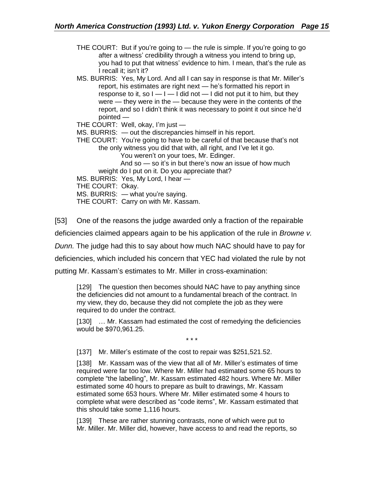- THE COURT: But if you're going to the rule is simple. If you're going to go after a witness' credibility through a witness you intend to bring up, you had to put that witness' evidence to him. I mean, that's the rule as I recall it; isn't it?
- MS. BURRIS: Yes, My Lord. And all I can say in response is that Mr. Miller's report, his estimates are right next — he's formatted his report in response to it, so  $I - I - I$  did not  $- I$  did not put it to him, but they were — they were in the — because they were in the contents of the report, and so I didn't think it was necessary to point it out since he'd pointed —

THE COURT: Well, okay, I'm just —

MS. BURRIS: — out the discrepancies himself in his report.

THE COURT: You're going to have to be careful of that because that's not the only witness you did that with, all right, and I've let it go.

You weren't on your toes, Mr. Edinger.

And so — so it's in but there's now an issue of how much weight do I put on it. Do you appreciate that?

MS. BURRIS: Yes, My Lord, I hear —

THE COURT: Okay.

MS. BURRIS: — what you're saying.

THE COURT: Carry on with Mr. Kassam.

[53] One of the reasons the judge awarded only a fraction of the repairable

deficiencies claimed appears again to be his application of the rule in *Browne v.* 

*Dunn.* The judge had this to say about how much NAC should have to pay for

deficiencies, which included his concern that YEC had violated the rule by not

putting Mr. Kassam's estimates to Mr. Miller in cross-examination:

[129] The question then becomes should NAC have to pay anything since the deficiencies did not amount to a fundamental breach of the contract. In my view, they do, because they did not complete the job as they were required to do under the contract.

[130] ... Mr. Kassam had estimated the cost of remedying the deficiencies would be \$970,961.25.

\* \* \*

[137] Mr. Miller's estimate of the cost to repair was \$251,521.52.

[138] Mr. Kassam was of the view that all of Mr. Miller's estimates of time required were far too low. Where Mr. Miller had estimated some 65 hours to complete "the labelling", Mr. Kassam estimated 482 hours. Where Mr. Miller estimated some 40 hours to prepare as built to drawings, Mr. Kassam estimated some 653 hours. Where Mr. Miller estimated some 4 hours to complete what were described as "code items", Mr. Kassam estimated that this should take some 1,116 hours.

[139] These are rather stunning contrasts, none of which were put to Mr. Miller. Mr. Miller did, however, have access to and read the reports, so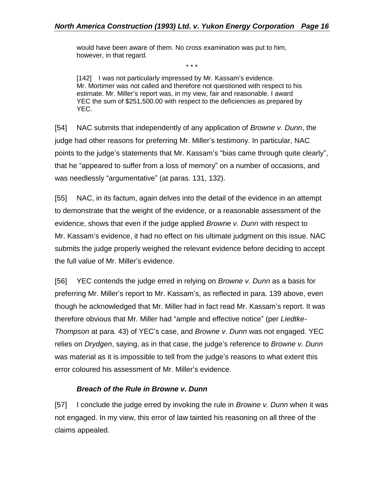would have been aware of them. No cross examination was put to him, however, in that regard.

[142] I was not particularly impressed by Mr. Kassam's evidence. Mr. Mortimer was not called and therefore not questioned with respect to his estimate. Mr. Miller's report was, in my view, fair and reasonable. I award YEC the sum of \$251,500.00 with respect to the deficiencies as prepared by YEC.

\* \* \*

[54] NAC submits that independently of any application of *Browne v. Dunn*, the judge had other reasons for preferring Mr. Miller's testimony. In particular, NAC points to the judge's statements that Mr. Kassam's "bias came through quite clearly", that he "appeared to suffer from a loss of memory" on a number of occasions, and was needlessly "argumentative" (at paras. 131, 132).

[55] NAC, in its factum, again delves into the detail of the evidence in an attempt to demonstrate that the weight of the evidence, or a reasonable assessment of the evidence, shows that even if the judge applied *Browne v. Dunn* with respect to Mr. Kassam's evidence, it had no effect on his ultimate judgment on this issue. NAC submits the judge properly weighed the relevant evidence before deciding to accept the full value of Mr. Miller's evidence.

[56] YEC contends the judge erred in relying on *Browne v. Dunn* as a basis for preferring Mr. Miller's report to Mr. Kassam's, as reflected in para. 139 above, even though he acknowledged that Mr. Miller had in fact read Mr. Kassam's report. It was therefore obvious that Mr. Miller had "ample and effective notice" (per *Liedtke-Thompson* at para. 43) of YEC's case, and *Browne v. Dunn* was not engaged. YEC relies on *Drydgen*, saying, as in that case, the judge's reference to *Browne v. Dunn* was material as it is impossible to tell from the judge's reasons to what extent this error coloured his assessment of Mr. Miller's evidence.

#### *Breach of the Rule in Browne v. Dunn*

[57] I conclude the judge erred by invoking the rule in *Browne v. Dunn* when it was not engaged. In my view, this error of law tainted his reasoning on all three of the claims appealed.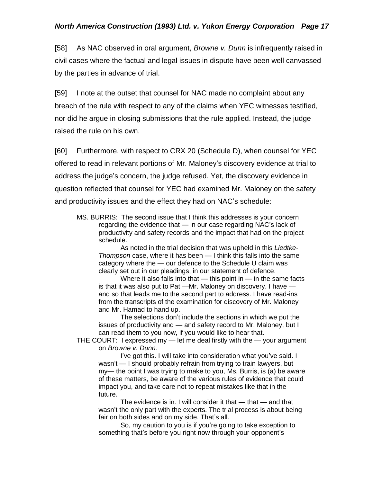[58] As NAC observed in oral argument, *Browne v. Dunn* is infrequently raised in civil cases where the factual and legal issues in dispute have been well canvassed by the parties in advance of trial.

[59] I note at the outset that counsel for NAC made no complaint about any breach of the rule with respect to any of the claims when YEC witnesses testified, nor did he argue in closing submissions that the rule applied. Instead, the judge raised the rule on his own.

[60] Furthermore, with respect to CRX 20 (Schedule D), when counsel for YEC offered to read in relevant portions of Mr. Maloney's discovery evidence at trial to address the judge's concern, the judge refused. Yet, the discovery evidence in question reflected that counsel for YEC had examined Mr. Maloney on the safety and productivity issues and the effect they had on NAC's schedule:

MS. BURRIS: The second issue that I think this addresses is your concern regarding the evidence that — in our case regarding NAC's lack of productivity and safety records and the impact that had on the project schedule.

As noted in the trial decision that was upheld in this *Liedtke-Thompson* case, where it has been — I think this falls into the same category where the — our defence to the Schedule U claim was clearly set out in our pleadings, in our statement of defence.

Where it also falls into that  $-$  this point in  $-$  in the same facts is that it was also put to Pat —Mr. Maloney on discovery. I have and so that leads me to the second part to address. I have read-ins from the transcripts of the examination for discovery of Mr. Maloney and Mr. Hamad to hand up.

The selections don't include the sections in which we put the issues of productivity and — and safety record to Mr. Maloney, but I can read them to you now, if you would like to hear that.

THE COURT: I expressed my — let me deal firstly with the — your argument on *Browne v. Dunn.*

I've got this. I will take into consideration what you've said. I wasn't — I should probably refrain from trying to train lawyers, but my— the point I was trying to make to you, Ms. Burris, is (a) be aware of these matters, be aware of the various rules of evidence that could impact you, and take care not to repeat mistakes like that in the future.

The evidence is in. I will consider it that — that — and that wasn't the only part with the experts. The trial process is about being fair on both sides and on my side. That's all.

So, my caution to you is if you're going to take exception to something that's before you right now through your opponent's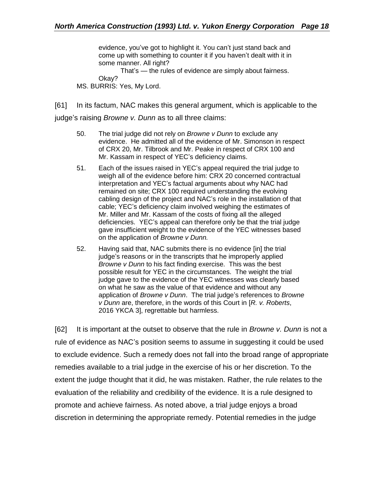evidence, you've got to highlight it. You can't just stand back and come up with something to counter it if you haven't dealt with it in some manner. All right?

That's — the rules of evidence are simply about fairness. Okay?

MS. BURRIS: Yes, My Lord.

- [61] In its factum, NAC makes this general argument, which is applicable to the judge's raising *Browne v. Dunn* as to all three claims:
	- 50. The trial judge did not rely on *Browne v Dunn* to exclude any evidence. He admitted all of the evidence of Mr. Simonson in respect of CRX 20, Mr. Tilbrook and Mr. Peake in respect of CRX 100 and Mr. Kassam in respect of YEC's deficiency claims.
	- 51. Each of the issues raised in YEC's appeal required the trial judge to weigh all of the evidence before him: CRX 20 concerned contractual interpretation and YEC's factual arguments about why NAC had remained on site; CRX 100 required understanding the evolving cabling design of the project and NAC's role in the installation of that cable; YEC's deficiency claim involved weighing the estimates of Mr. Miller and Mr. Kassam of the costs of fixing all the alleged deficiencies. YEC's appeal can therefore only be that the trial judge gave insufficient weight to the evidence of the YEC witnesses based on the application of *Browne v Dunn.*
	- 52. Having said that, NAC submits there is no evidence [in] the trial judge's reasons or in the transcripts that he improperly applied *Browne v Dunn* to his fact finding exercise. This was the best possible result for YEC in the circumstances. The weight the trial judge gave to the evidence of the YEC witnesses was clearly based on what he saw as the value of that evidence and without any application of *Browne v Dunn*. The trial judge's references to *Browne v Dunn* are, therefore, in the words of this Court in [*R. v. Roberts*, 2016 YKCA 3], regrettable but harmless.

[62] It is important at the outset to observe that the rule in *Browne v. Dunn* is not a rule of evidence as NAC's position seems to assume in suggesting it could be used to exclude evidence. Such a remedy does not fall into the broad range of appropriate remedies available to a trial judge in the exercise of his or her discretion. To the extent the judge thought that it did, he was mistaken. Rather, the rule relates to the evaluation of the reliability and credibility of the evidence. It is a rule designed to promote and achieve fairness. As noted above, a trial judge enjoys a broad discretion in determining the appropriate remedy. Potential remedies in the judge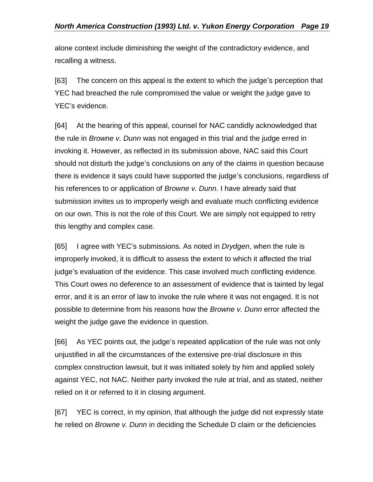alone context include diminishing the weight of the contradictory evidence, and recalling a witness.

[63] The concern on this appeal is the extent to which the judge's perception that YEC had breached the rule compromised the value or weight the judge gave to YEC's evidence.

[64] At the hearing of this appeal, counsel for NAC candidly acknowledged that the rule in *Browne v. Dunn* was not engaged in this trial and the judge erred in invoking it. However, as reflected in its submission above, NAC said this Court should not disturb the judge's conclusions on any of the claims in question because there is evidence it says could have supported the judge's conclusions, regardless of his references to or application of *Browne v. Dunn.* I have already said that submission invites us to improperly weigh and evaluate much conflicting evidence on our own. This is not the role of this Court. We are simply not equipped to retry this lengthy and complex case.

[65] I agree with YEC's submissions. As noted in *Drydgen*, when the rule is improperly invoked, it is difficult to assess the extent to which it affected the trial judge's evaluation of the evidence. This case involved much conflicting evidence. This Court owes no deference to an assessment of evidence that is tainted by legal error, and it is an error of law to invoke the rule where it was not engaged. It is not possible to determine from his reasons how the *Browne v. Dunn* error affected the weight the judge gave the evidence in question.

[66] As YEC points out, the judge's repeated application of the rule was not only unjustified in all the circumstances of the extensive pre-trial disclosure in this complex construction lawsuit, but it was initiated solely by him and applied solely against YEC, not NAC. Neither party invoked the rule at trial, and as stated, neither relied on it or referred to it in closing argument.

[67] YEC is correct, in my opinion, that although the judge did not expressly state he relied on *Browne v. Dunn* in deciding the Schedule D claim or the deficiencies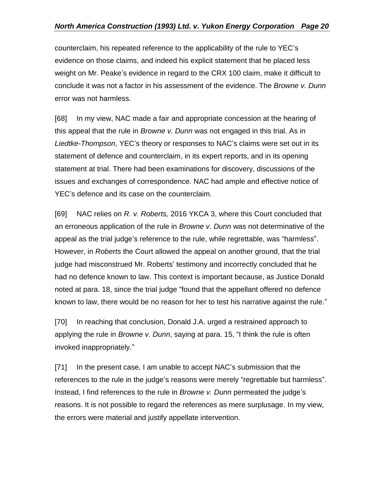counterclaim, his repeated reference to the applicability of the rule to YEC's evidence on those claims, and indeed his explicit statement that he placed less weight on Mr. Peake's evidence in regard to the CRX 100 claim, make it difficult to conclude it was not a factor in his assessment of the evidence. The *Browne v. Dunn*  error was not harmless.

[68] In my view, NAC made a fair and appropriate concession at the hearing of this appeal that the rule in *Browne v. Dunn* was not engaged in this trial. As in *Liedtke-Thompson*, YEC's theory or responses to NAC's claims were set out in its statement of defence and counterclaim, in its expert reports, and in its opening statement at trial. There had been examinations for discovery, discussions of the issues and exchanges of correspondence. NAC had ample and effective notice of YEC's defence and its case on the counterclaim.

[69] NAC relies on *R. v. Roberts,* 2016 YKCA 3, where this Court concluded that an erroneous application of the rule in *Browne v. Dunn* was not determinative of the appeal as the trial judge's reference to the rule, while regrettable, was "harmless". However, in *Roberts* the Court allowed the appeal on another ground, that the trial judge had misconstrued Mr. Roberts' testimony and incorrectly concluded that he had no defence known to law. This context is important because, as Justice Donald noted at para. 18, since the trial judge "found that the appellant offered no defence known to law, there would be no reason for her to test his narrative against the rule."

[70] In reaching that conclusion, Donald J.A. urged a restrained approach to applying the rule in *Browne v. Dunn*, saying at para. 15, "I think the rule is often invoked inappropriately."

[71] In the present case, I am unable to accept NAC's submission that the references to the rule in the judge's reasons were merely "regrettable but harmless". Instead, I find references to the rule in *Browne v. Dunn* permeated the judge's reasons. It is not possible to regard the references as mere surplusage. In my view, the errors were material and justify appellate intervention.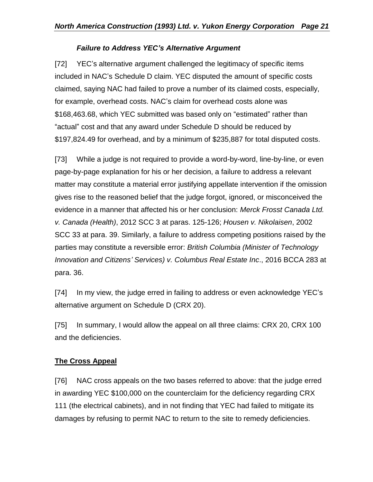#### *Failure to Address YEC's Alternative Argument*

[72] YEC's alternative argument challenged the legitimacy of specific items included in NAC's Schedule D claim. YEC disputed the amount of specific costs claimed, saying NAC had failed to prove a number of its claimed costs, especially, for example, overhead costs. NAC's claim for overhead costs alone was \$168,463.68, which YEC submitted was based only on "estimated" rather than "actual" cost and that any award under Schedule D should be reduced by \$197,824.49 for overhead, and by a minimum of \$235,887 for total disputed costs.

[73] While a judge is not required to provide a word-by-word, line-by-line, or even page-by-page explanation for his or her decision, a failure to address a relevant matter may constitute a material error justifying appellate intervention if the omission gives rise to the reasoned belief that the judge forgot, ignored, or misconceived the evidence in a manner that affected his or her conclusion: *Merck Frosst Canada Ltd. v. Canada (Health)*, 2012 SCC 3 at paras. 125-126; *Housen v. Nikolaisen*, 2002 SCC 33 at para. 39. Similarly, a failure to address competing positions raised by the parties may constitute a reversible error: *British Columbia (Minister of Technology Innovation and Citizens' Services) v. Columbus Real Estate Inc*., 2016 BCCA 283 at para. 36.

[74] In my view, the judge erred in failing to address or even acknowledge YEC's alternative argument on Schedule D (CRX 20).

[75] In summary, I would allow the appeal on all three claims: CRX 20, CRX 100 and the deficiencies.

## **The Cross Appeal**

[76] NAC cross appeals on the two bases referred to above: that the judge erred in awarding YEC \$100,000 on the counterclaim for the deficiency regarding CRX 111 (the electrical cabinets), and in not finding that YEC had failed to mitigate its damages by refusing to permit NAC to return to the site to remedy deficiencies.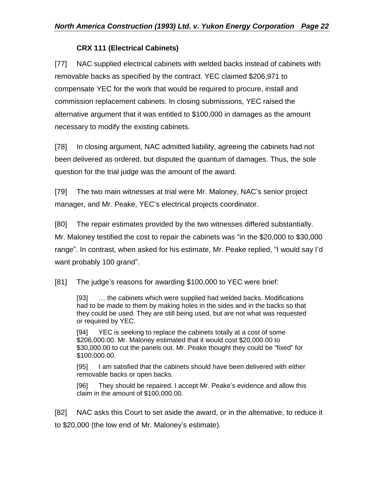## **CRX 111 (Electrical Cabinets)**

[77] NAC supplied electrical cabinets with welded backs instead of cabinets with removable backs as specified by the contract. YEC claimed \$206,971 to compensate YEC for the work that would be required to procure, install and commission replacement cabinets. In closing submissions, YEC raised the alternative argument that it was entitled to \$100,000 in damages as the amount necessary to modify the existing cabinets.

[78] In closing argument, NAC admitted liability, agreeing the cabinets had not been delivered as ordered, but disputed the quantum of damages. Thus, the sole question for the trial judge was the amount of the award.

[79] The two main witnesses at trial were Mr. Maloney, NAC's senior project manager, and Mr. Peake, YEC's electrical projects coordinator.

[80] The repair estimates provided by the two witnesses differed substantially. Mr. Maloney testified the cost to repair the cabinets was "in the \$20,000 to \$30,000 range". In contrast, when asked for his estimate, Mr. Peake replied, "I would say I'd want probably 100 grand".

[81] The judge's reasons for awarding \$100,000 to YEC were brief:

[93] … the cabinets which were supplied had welded backs. Modifications had to be made to them by making holes in the sides and in the backs so that they could be used. They are still being used, but are not what was requested or required by YEC.

[94] YEC is seeking to replace the cabinets totally at a cost of some \$206,000.00. Mr. Maloney estimated that it would cost \$20,000.00 to \$30,000.00 to cut the panels out. Mr. Peake thought they could be "fixed" for \$100,000.00.

[95] I am satisfied that the cabinets should have been delivered with either removable backs or open backs.

[96] They should be repaired. I accept Mr. Peake's evidence and allow this claim in the amount of \$100,000.00.

[82] NAC asks this Court to set aside the award, or in the alternative, to reduce it to \$20,000 (the low end of Mr. Maloney's estimate).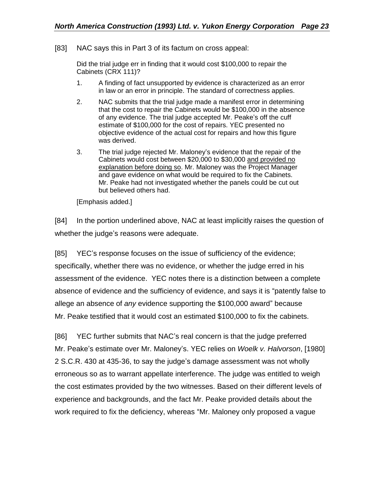[83] NAC says this in Part 3 of its factum on cross appeal:

Did the trial judge err in finding that it would cost \$100,000 to repair the Cabinets (CRX 111)?

- 1. A finding of fact unsupported by evidence is characterized as an error in law or an error in principle. The standard of correctness applies.
- 2. NAC submits that the trial judge made a manifest error in determining that the cost to repair the Cabinets would be \$100,000 in the absence of any evidence. The trial judge accepted Mr. Peake's off the cuff estimate of \$100,000 for the cost of repairs. YEC presented no objective evidence of the actual cost for repairs and how this figure was derived.
- 3. The trial judge rejected Mr. Maloney's evidence that the repair of the Cabinets would cost between \$20,000 to \$30,000 and provided no explanation before doing so. Mr. Maloney was the Project Manager and gave evidence on what would be required to fix the Cabinets. Mr. Peake had not investigated whether the panels could be cut out but believed others had.

[Emphasis added.]

[84] In the portion underlined above, NAC at least implicitly raises the question of whether the judge's reasons were adequate.

[85] YEC's response focuses on the issue of sufficiency of the evidence; specifically, whether there was no evidence, or whether the judge erred in his assessment of the evidence. YEC notes there is a distinction between a complete absence of evidence and the sufficiency of evidence, and says it is "patently false to allege an absence of *any* evidence supporting the \$100,000 award" because Mr. Peake testified that it would cost an estimated \$100,000 to fix the cabinets.

[86] YEC further submits that NAC's real concern is that the judge preferred Mr. Peake's estimate over Mr. Maloney's. YEC relies on *Woelk v. Halvorson*, [1980] 2 S.C.R. 430 at 435-36, to say the judge's damage assessment was not wholly erroneous so as to warrant appellate interference. The judge was entitled to weigh the cost estimates provided by the two witnesses. Based on their different levels of experience and backgrounds, and the fact Mr. Peake provided details about the work required to fix the deficiency, whereas "Mr. Maloney only proposed a vague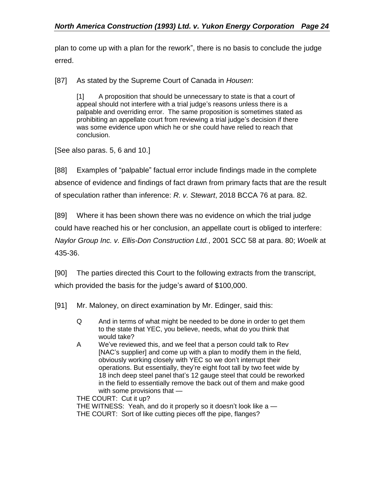plan to come up with a plan for the rework", there is no basis to conclude the judge erred.

[87] As stated by the Supreme Court of Canada in *Housen*:

[1] A proposition that should be unnecessary to state is that a court of appeal should not interfere with a trial judge's reasons unless there is a palpable and overriding error. The same proposition is sometimes stated as prohibiting an appellate court from reviewing a trial judge's decision if there was some evidence upon which he or she could have relied to reach that conclusion.

[See also paras. 5, 6 and 10.]

[88] Examples of "palpable" factual error include findings made in the complete absence of evidence and findings of fact drawn from primary facts that are the result of speculation rather than inference: *R. v. Stewart*, 2018 BCCA 76 at para. 82.

[89] Where it has been shown there was no evidence on which the trial judge could have reached his or her conclusion, an appellate court is obliged to interfere: *Naylor Group Inc. v. Ellis-Don Construction Ltd.*, 2001 SCC 58 at para. 80; *Woelk* at 435-36.

[90] The parties directed this Court to the following extracts from the transcript, which provided the basis for the judge's award of \$100,000.

[91] Mr. Maloney, on direct examination by Mr. Edinger, said this:

- Q And in terms of what might be needed to be done in order to get them to the state that YEC, you believe, needs, what do you think that would take?
- A We've reviewed this, and we feel that a person could talk to Rev [NAC's supplier] and come up with a plan to modify them in the field, obviously working closely with YEC so we don't interrupt their operations. But essentially, they're eight foot tall by two feet wide by 18 inch deep steel panel that's 12 gauge steel that could be reworked in the field to essentially remove the back out of them and make good with some provisions that —

THE COURT: Cut it up?

THE WITNESS: Yeah, and do it properly so it doesn't look like a — THE COURT: Sort of like cutting pieces off the pipe, flanges?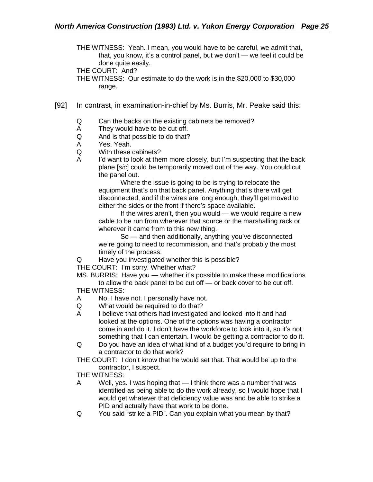THE WITNESS: Yeah. I mean, you would have to be careful, we admit that, that, you know, it's a control panel, but we don't — we feel it could be done quite easily.

- THE WITNESS: Our estimate to do the work is in the \$20,000 to \$30,000 range.
- [92] In contrast, in examination-in-chief by Ms. Burris, Mr. Peake said this:
	- Q Can the backs on the existing cabinets be removed?
	- A They would have to be cut off.
	- Q And is that possible to do that?
	- A Yes. Yeah.
	- Q With these cabinets?
	- A I'd want to look at them more closely, but I'm suspecting that the back plane [*sic*] could be temporarily moved out of the way. You could cut the panel out.

Where the issue is going to be is trying to relocate the equipment that's on that back panel. Anything that's there will get disconnected, and if the wires are long enough, they'll get moved to either the sides or the front if there's space available.

If the wires aren't, then you would — we would require a new cable to be run from wherever that source or the marshalling rack or wherever it came from to this new thing.

So — and then additionally, anything you've disconnected we're going to need to recommission, and that's probably the most timely of the process.

Q Have you investigated whether this is possible?

THE COURT: I'm sorry. Whether what?

MS. BURRIS: Have you — whether it's possible to make these modifications to allow the back panel to be cut off — or back cover to be cut off.

THE WITNESS:

- A No, I have not. I personally have not.
- Q What would be required to do that?
- A I believe that others had investigated and looked into it and had looked at the options. One of the options was having a contractor come in and do it. I don't have the workforce to look into it, so it's not something that I can entertain. I would be getting a contractor to do it.
- Q Do you have an idea of what kind of a budget you'd require to bring in a contractor to do that work?

THE COURT: I don't know that he would set that. That would be up to the contractor, I suspect.

THE WITNESS:

- A Well, yes. I was hoping that I think there was a number that was identified as being able to do the work already, so I would hope that I would get whatever that deficiency value was and be able to strike a PID and actually have that work to be done.
- Q You said "strike a PID". Can you explain what you mean by that?

THE COURT: And?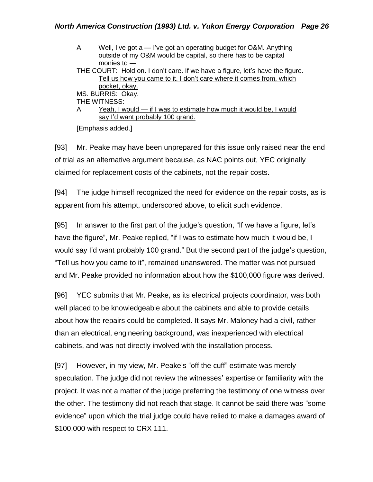| A                                                                             | Well, I've got a — I've got an operating budget for O&M. Anything<br>outside of my O&M would be capital, so there has to be capital |
|-------------------------------------------------------------------------------|-------------------------------------------------------------------------------------------------------------------------------------|
|                                                                               | monies to $-$                                                                                                                       |
| THE COURT: Hold on. I don't care. If we have a figure, let's have the figure. |                                                                                                                                     |
|                                                                               | Tell us how you came to it. I don't care where it comes from, which                                                                 |
|                                                                               | pocket, okay.                                                                                                                       |
|                                                                               | MS. BURRIS: Okay.                                                                                                                   |
|                                                                               | THE WITNESS:                                                                                                                        |
| A                                                                             | Yeah, I would — if I was to estimate how much it would be, I would                                                                  |
|                                                                               | say I'd want probably 100 grand.                                                                                                    |
|                                                                               | [Emphasis added.]                                                                                                                   |

[93] Mr. Peake may have been unprepared for this issue only raised near the end of trial as an alternative argument because, as NAC points out, YEC originally claimed for replacement costs of the cabinets, not the repair costs.

[94] The judge himself recognized the need for evidence on the repair costs, as is apparent from his attempt, underscored above, to elicit such evidence.

[95] In answer to the first part of the judge's question, "If we have a figure, let's have the figure", Mr. Peake replied, "if I was to estimate how much it would be, I would say I'd want probably 100 grand." But the second part of the judge's question, "Tell us how you came to it", remained unanswered. The matter was not pursued and Mr. Peake provided no information about how the \$100,000 figure was derived.

[96] YEC submits that Mr. Peake, as its electrical projects coordinator, was both well placed to be knowledgeable about the cabinets and able to provide details about how the repairs could be completed. It says Mr. Maloney had a civil, rather than an electrical, engineering background, was inexperienced with electrical cabinets, and was not directly involved with the installation process.

[97] However, in my view, Mr. Peake's "off the cuff" estimate was merely speculation. The judge did not review the witnesses' expertise or familiarity with the project. It was not a matter of the judge preferring the testimony of one witness over the other. The testimony did not reach that stage. It cannot be said there was "some evidence" upon which the trial judge could have relied to make a damages award of \$100,000 with respect to CRX 111.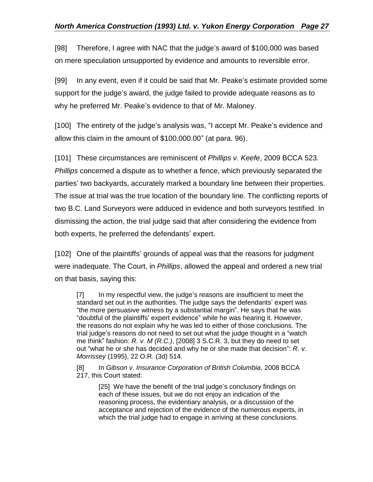[98] Therefore, I agree with NAC that the judge's award of \$100,000 was based on mere speculation unsupported by evidence and amounts to reversible error.

[99] In any event, even if it could be said that Mr. Peake's estimate provided some support for the judge's award, the judge failed to provide adequate reasons as to why he preferred Mr. Peake's evidence to that of Mr. Maloney.

[100] The entirety of the judge's analysis was, "I accept Mr. Peake's evidence and allow this claim in the amount of \$100,000.00" (at para. 96).

[101] These circumstances are reminiscent of *Phillips v. Keefe*, 2009 BCCA 523. *Phillips* concerned a dispute as to whether a fence, which previously separated the parties' two backyards, accurately marked a boundary line between their properties. The issue at trial was the true location of the boundary line. The conflicting reports of two B.C. Land Surveyors were adduced in evidence and both surveyors testified. In dismissing the action, the trial judge said that after considering the evidence from both experts, he preferred the defendants' expert.

[102] One of the plaintiffs' grounds of appeal was that the reasons for judgment were inadequate. The Court, in *Phillips*, allowed the appeal and ordered a new trial on that basis, saying this:

[7] In my respectful view, the judge's reasons are insufficient to meet the standard set out in the authorities. The judge says the defendants' expert was "the more persuasive witness by a substantial margin". He says that he was "doubtful of the plaintiffs' expert evidence" while he was hearing it. However, the reasons do not explain why he was led to either of those conclusions. The trial judge's reasons do not need to set out what the judge thought in a "watch me think" fashion: *R. v. M (R.C.)*, [2008] 3 S.C.R. 3, but they do need to set out "what he or she has decided and why he or she made that decision": *R. v. Morrissey* (1995), 22 O.R. (3d) 514.

[8] In *Gibson v. Insurance Corporation of British Columbia*, 2008 BCCA 217, this Court stated:

[25] We have the benefit of the trial judge's conclusory findings on each of these issues, but we do not enjoy an indication of the reasoning process, the evidentiary analysis, or a discussion of the acceptance and rejection of the evidence of the numerous experts, in which the trial judge had to engage in arriving at these conclusions.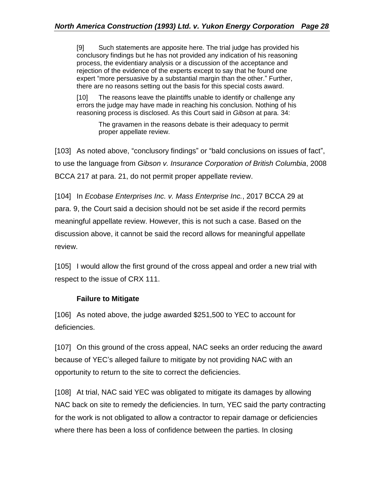[9] Such statements are apposite here. The trial judge has provided his conclusory findings but he has not provided any indication of his reasoning process, the evidentiary analysis or a discussion of the acceptance and rejection of the evidence of the experts except to say that he found one expert "more persuasive by a substantial margin than the other." Further, there are no reasons setting out the basis for this special costs award.

[10] The reasons leave the plaintiffs unable to identify or challenge any errors the judge may have made in reaching his conclusion. Nothing of his reasoning process is disclosed. As this Court said in *Gibson* at para. 34:

> The gravamen in the reasons debate is their adequacy to permit proper appellate review.

[103] As noted above, "conclusory findings" or "bald conclusions on issues of fact", to use the language from *Gibson v. Insurance Corporation of British Columbia*, 2008 BCCA 217 at para. 21, do not permit proper appellate review.

[104] In *Ecobase Enterprises Inc. v. Mass Enterprise Inc.*, 2017 BCCA 29 at para. 9, the Court said a decision should not be set aside if the record permits meaningful appellate review. However, this is not such a case. Based on the discussion above, it cannot be said the record allows for meaningful appellate review.

[105] I would allow the first ground of the cross appeal and order a new trial with respect to the issue of CRX 111.

#### **Failure to Mitigate**

[106] As noted above, the judge awarded \$251,500 to YEC to account for deficiencies.

[107] On this ground of the cross appeal, NAC seeks an order reducing the award because of YEC's alleged failure to mitigate by not providing NAC with an opportunity to return to the site to correct the deficiencies.

[108] At trial, NAC said YEC was obligated to mitigate its damages by allowing NAC back on site to remedy the deficiencies. In turn, YEC said the party contracting for the work is not obligated to allow a contractor to repair damage or deficiencies where there has been a loss of confidence between the parties. In closing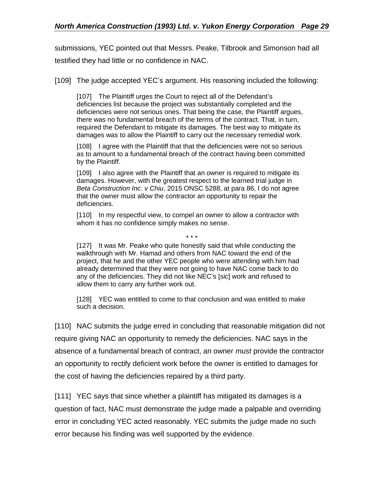submissions, YEC pointed out that Messrs. Peake, Tilbrook and Simonson had all testified they had little or no confidence in NAC.

[109] The judge accepted YEC's argument. His reasoning included the following:

[107] The Plaintiff urges the Court to reject all of the Defendant's deficiencies list because the project was substantially completed and the deficiencies were not serious ones. That being the case, the Plaintiff argues, there was no fundamental breach of the terms of the contract. That, in turn, required the Defendant to mitigate its damages. The best way to mitigate its damages was to allow the Plaintiff to carry out the necessary remedial work.

[108] I agree with the Plaintiff that that the deficiencies were not so serious as to amount to a fundamental breach of the contract having been committed by the Plaintiff.

[109] I also agree with the Plaintiff that an owner is required to mitigate its damages. However, with the greatest respect to the learned trial judge in *Beta Construction Inc. v Chiu*, 2015 ONSC 5288, at para 86, I do not agree that the owner must allow the contractor an opportunity to repair the deficiencies.

[110] In my respectful view, to compel an owner to allow a contractor with whom it has no confidence simply makes no sense.

\* \* \*

[127] It was Mr. Peake who quite honestly said that while conducting the walkthrough with Mr. Hamad and others from NAC toward the end of the project, that he and the other YEC people who were attending with him had already determined that they were not going to have NAC come back to do any of the deficiencies. They did not like NEC's [*sic*] work and refused to allow them to carry any further work out.

[128] YEC was entitled to come to that conclusion and was entitled to make such a decision.

[110] NAC submits the judge erred in concluding that reasonable mitigation did not require giving NAC an opportunity to remedy the deficiencies. NAC says in the absence of a fundamental breach of contract, an owner *must* provide the contractor an opportunity to rectify deficient work before the owner is entitled to damages for the cost of having the deficiencies repaired by a third party.

[111] YEC says that since whether a plaintiff has mitigated its damages is a question of fact, NAC must demonstrate the judge made a palpable and overriding error in concluding YEC acted reasonably. YEC submits the judge made no such error because his finding was well supported by the evidence.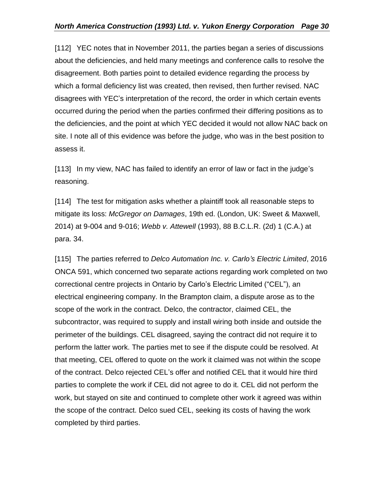[112] YEC notes that in November 2011, the parties began a series of discussions about the deficiencies, and held many meetings and conference calls to resolve the disagreement. Both parties point to detailed evidence regarding the process by which a formal deficiency list was created, then revised, then further revised. NAC disagrees with YEC's interpretation of the record, the order in which certain events occurred during the period when the parties confirmed their differing positions as to the deficiencies, and the point at which YEC decided it would not allow NAC back on site. I note all of this evidence was before the judge, who was in the best position to assess it.

[113] In my view, NAC has failed to identify an error of law or fact in the judge's reasoning.

[114] The test for mitigation asks whether a plaintiff took all reasonable steps to mitigate its loss: *McGregor on Damages*, 19th ed. (London, UK: Sweet & Maxwell, 2014) at 9-004 and 9-016; *Webb v. Attewell* (1993), 88 B.C.L.R. (2d) 1 (C.A.) at para. 34.

[115] The parties referred to *Delco Automation Inc. v. Carlo's Electric Limited*, 2016 ONCA 591, which concerned two separate actions regarding work completed on two correctional centre projects in Ontario by Carlo's Electric Limited ("CEL"), an electrical engineering company. In the Brampton claim, a dispute arose as to the scope of the work in the contract. Delco, the contractor, claimed CEL, the subcontractor, was required to supply and install wiring both inside and outside the perimeter of the buildings. CEL disagreed, saying the contract did not require it to perform the latter work. The parties met to see if the dispute could be resolved. At that meeting, CEL offered to quote on the work it claimed was not within the scope of the contract. Delco rejected CEL's offer and notified CEL that it would hire third parties to complete the work if CEL did not agree to do it. CEL did not perform the work, but stayed on site and continued to complete other work it agreed was within the scope of the contract. Delco sued CEL, seeking its costs of having the work completed by third parties.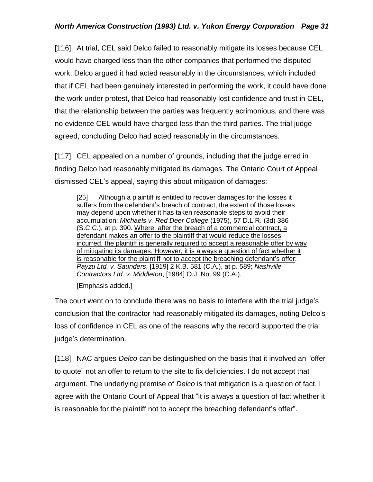[116] At trial, CEL said Delco failed to reasonably mitigate its losses because CEL would have charged less than the other companies that performed the disputed work. Delco argued it had acted reasonably in the circumstances, which included that if CEL had been genuinely interested in performing the work, it could have done the work under protest, that Delco had reasonably lost confidence and trust in CEL, that the relationship between the parties was frequently acrimonious, and there was no evidence CEL would have charged less than the third parties. The trial judge agreed, concluding Delco had acted reasonably in the circumstances.

[117] CEL appealed on a number of grounds, including that the judge erred in finding Delco had reasonably mitigated its damages. The Ontario Court of Appeal dismissed CEL's appeal, saying this about mitigation of damages:

[25] Although a plaintiff is entitled to recover damages for the losses it suffers from the defendant's breach of contract, the extent of those losses may depend upon whether it has taken reasonable steps to avoid their accumulation: *Michaels v. Red Deer College* (1975), 57 D.L.R. (3d) 386 (S.C.C.), at p. 390. Where, after the breach of a commercial contract, a defendant makes an offer to the plaintiff that would reduce the losses incurred, the plaintiff is generally required to accept a reasonable offer by way of mitigating its damages. However, it is always a question of fact whether it is reasonable for the plaintiff not to accept the breaching defendant's offer: *Payzu Ltd. v. Saunders*, [1919] 2 K.B. 581 (C.A.), at p. 589; *Nashville Contractors Ltd. v. Middleton*, [1984] O.J. No. 99 (C.A.).

[Emphasis added.]

The court went on to conclude there was no basis to interfere with the trial judge's conclusion that the contractor had reasonably mitigated its damages, noting Delco's loss of confidence in CEL as one of the reasons why the record supported the trial judge's determination.

[118] NAC argues *Delco* can be distinguished on the basis that it involved an "offer to quote" not an offer to return to the site to fix deficiencies. I do not accept that argument. The underlying premise of *Delco* is that mitigation is a question of fact. I agree with the Ontario Court of Appeal that "it is always a question of fact whether it is reasonable for the plaintiff not to accept the breaching defendant's offer".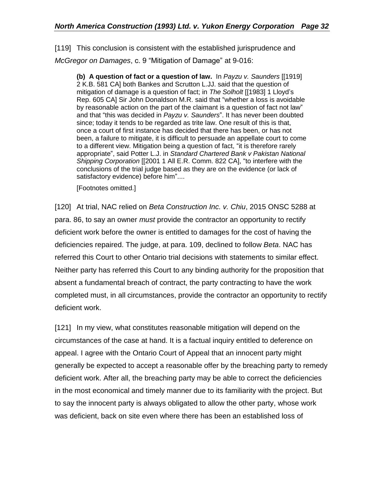[119] This conclusion is consistent with the established jurisprudence and *McGregor on Damages*, c. 9 "Mitigation of Damage" at 9-016:

**(b) A question of fact or a question of law.** In *Payzu v. Saunders* [[1919] 2 K.B. 581 CA] both Bankes and Scrutton L.JJ. said that the question of mitigation of damage is a question of fact; in *The Solholt* [[1983] 1 Lloyd's Rep. 605 CA] Sir John Donaldson M.R. said that "whether a loss is avoidable by reasonable action on the part of the claimant is a question of fact not law" and that "this was decided in *Payzu v. Saunders*". It has never been doubted since; today it tends to be regarded as trite law. One result of this is that, once a court of first instance has decided that there has been, or has not been, a failure to mitigate, it is difficult to persuade an appellate court to come to a different view. Mitigation being a question of fact, "it is therefore rarely appropriate", said Potter L.J. in *Standard Chartered Bank v Pakistan National Shipping Corporation* [[2001 1 All E.R. Comm. 822 CA], "to interfere with the conclusions of the trial judge based as they are on the evidence (or lack of satisfactory evidence) before him"....

[Footnotes omitted.]

[120] At trial, NAC relied on *Beta Construction Inc. v. Chiu*, 2015 ONSC 5288 at para. 86, to say an owner *must* provide the contractor an opportunity to rectify deficient work before the owner is entitled to damages for the cost of having the deficiencies repaired. The judge, at para. 109, declined to follow *Beta*. NAC has referred this Court to other Ontario trial decisions with statements to similar effect. Neither party has referred this Court to any binding authority for the proposition that absent a fundamental breach of contract, the party contracting to have the work completed must, in all circumstances, provide the contractor an opportunity to rectify deficient work.

[121] In my view, what constitutes reasonable mitigation will depend on the circumstances of the case at hand. It is a factual inquiry entitled to deference on appeal. I agree with the Ontario Court of Appeal that an innocent party might generally be expected to accept a reasonable offer by the breaching party to remedy deficient work. After all, the breaching party may be able to correct the deficiencies in the most economical and timely manner due to its familiarity with the project. But to say the innocent party is always obligated to allow the other party, whose work was deficient, back on site even where there has been an established loss of